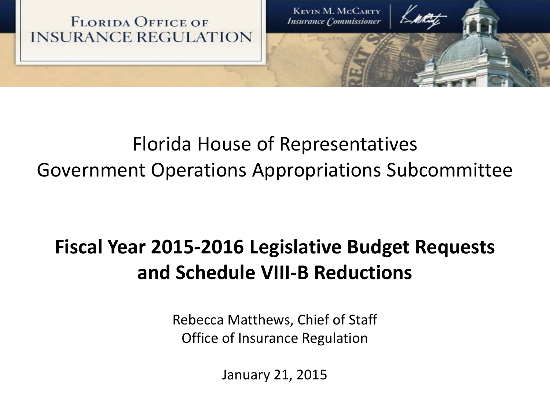

## Florida House of Representatives Government Operations Appropriations Subcommittee

## **Fiscal Year 2015-2016 Legislative Budget Requests and Schedule VIII-B Reductions**

Rebecca Matthews, Chief of Staff Office of Insurance Regulation

January 21, 2015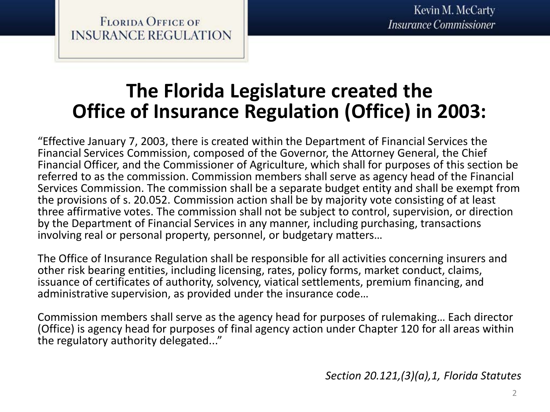### **The Florida Legislature created the Office of Insurance Regulation (Office) in 2003:**

"Effective January 7, 2003, there is created within the Department of Financial Services the Financial Services Commission, composed of the Governor, the Attorney General, the Chief Financial Officer, and the Commissioner of Agriculture, which shall for purposes of this section be referred to as the commission. Commission members shall serve as agency head of the Financial Services Commission. The commission shall be a separate budget entity and shall be exempt from the provisions of s. 20.052. Commission action shall be by majority vote consisting of at least three affirmative votes. The commission shall not be subject to control, supervision, or direction by the Department of Financial Services in any manner, including purchasing, transactions involving real or personal property, personnel, or budgetary matters…

The Office of Insurance Regulation shall be responsible for all activities concerning insurers and other risk bearing entities, including licensing, rates, policy forms, market conduct, claims, issuance of certificates of authority, solvency, viatical settlements, premium financing, and administrative supervision, as provided under the insurance code…

Commission members shall serve as the agency head for purposes of rulemaking… Each director (Office) is agency head for purposes of final agency action under Chapter 120 for all areas within the regulatory authority delegated..."

*Section 20.121,(3)(a),1, Florida Statutes*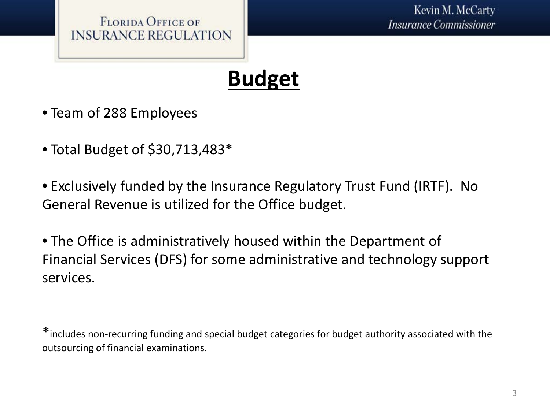

# **Budget**

- Team of 288 Employees
- Total Budget of \$30,713,483\*
- Exclusively funded by the Insurance Regulatory Trust Fund (IRTF). No General Revenue is utilized for the Office budget.

• The Office is administratively housed within the Department of Financial Services (DFS) for some administrative and technology support services.

\*includes non-recurring funding and special budget categories for budget authority associated with the outsourcing of financial examinations.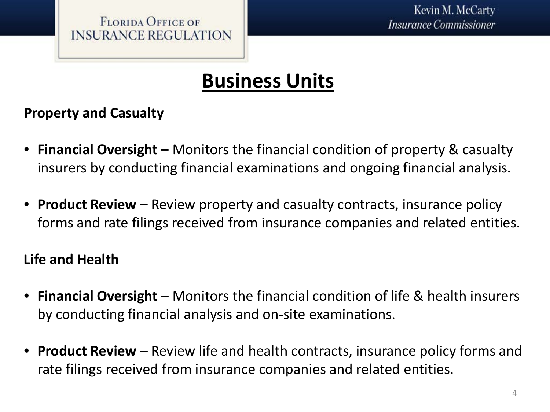## **Business Units**

#### **Property and Casualty**

- **Financial Oversight**  Monitors the financial condition of property & casualty insurers by conducting financial examinations and ongoing financial analysis.
- **Product Review**  Review property and casualty contracts, insurance policy forms and rate filings received from insurance companies and related entities.

#### **Life and Health**

- **Financial Oversight**  Monitors the financial condition of life & health insurers by conducting financial analysis and on-site examinations.
- **Product Review**  Review life and health contracts, insurance policy forms and rate filings received from insurance companies and related entities.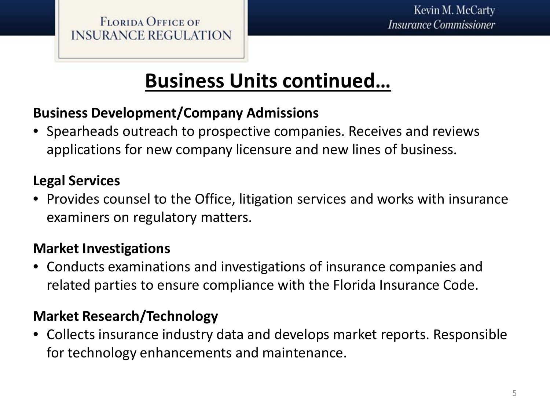## **Business Units continued…**

#### **Business Development/Company Admissions**

• Spearheads outreach to prospective companies. Receives and reviews applications for new company licensure and new lines of business.

#### **Legal Services**

• Provides counsel to the Office, litigation services and works with insurance examiners on regulatory matters.

#### **Market Investigations**

• Conducts examinations and investigations of insurance companies and related parties to ensure compliance with the Florida Insurance Code.

#### **Market Research/Technology**

• Collects insurance industry data and develops market reports. Responsible for technology enhancements and maintenance.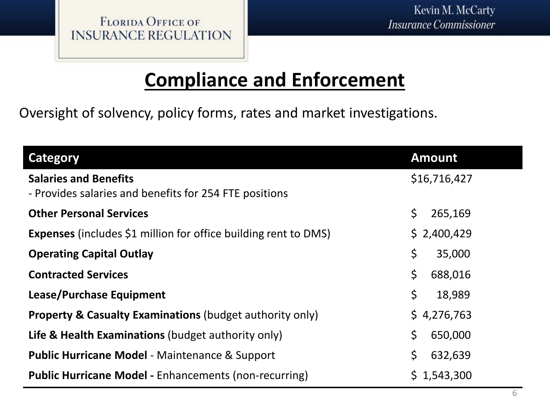### **Compliance and Enforcement**

Oversight of solvency, policy forms, rates and market investigations.

| <b>Category</b>                                                                        | <b>Amount</b>     |
|----------------------------------------------------------------------------------------|-------------------|
| <b>Salaries and Benefits</b><br>- Provides salaries and benefits for 254 FTE positions | \$16,716,427      |
| <b>Other Personal Services</b>                                                         | \$<br>265,169     |
| <b>Expenses</b> (includes \$1 million for office building rent to DMS)                 | \$2,400,429       |
| <b>Operating Capital Outlay</b>                                                        | \$<br>35,000      |
| <b>Contracted Services</b>                                                             | \$<br>688,016     |
| Lease/Purchase Equipment                                                               | $\zeta$<br>18,989 |
| <b>Property &amp; Casualty Examinations (budget authority only)</b>                    | \$4,276,763       |
| <b>Life &amp; Health Examinations</b> (budget authority only)                          | \$<br>650,000     |
| <b>Public Hurricane Model - Maintenance &amp; Support</b>                              | \$<br>632,639     |
| <b>Public Hurricane Model - Enhancements (non-recurring)</b>                           | \$1,543,300       |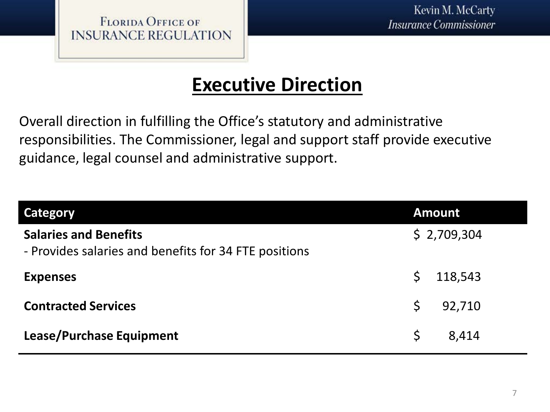**FLORIDA OFFICE OF INSURANCE REGULATION** 

### **Executive Direction**

Overall direction in fulfilling the Office's statutory and administrative responsibilities. The Commissioner, legal and support staff provide executive guidance, legal counsel and administrative support.

| <b>Category</b>                                                                       |              | <b>Amount</b> |
|---------------------------------------------------------------------------------------|--------------|---------------|
| <b>Salaries and Benefits</b><br>- Provides salaries and benefits for 34 FTE positions |              | \$2,709,304   |
| <b>Expenses</b>                                                                       | S.           | 118,543       |
| <b>Contracted Services</b>                                                            | $\mathsf{S}$ | 92,710        |
| Lease/Purchase Equipment                                                              | \$           | 8,414         |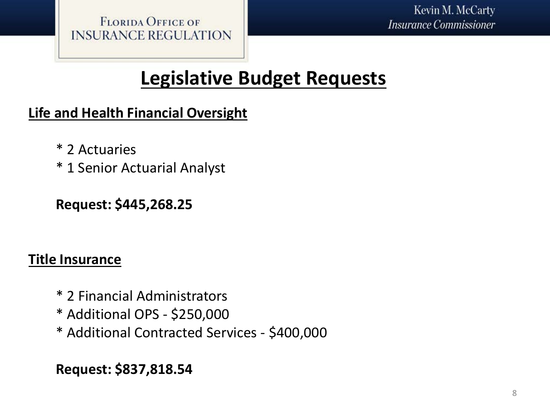**FLORIDA OFFICE OF INSURANCE REGULATION** 

### **Legislative Budget Requests**

#### **Life and Health Financial Oversight**

- \* 2 Actuaries
- \* 1 Senior Actuarial Analyst

#### **Request: \$445,268.25**

#### **Title Insurance**

- \* 2 Financial Administrators
- \* Additional OPS \$250,000
- \* Additional Contracted Services \$400,000

#### **Request: \$837,818.54**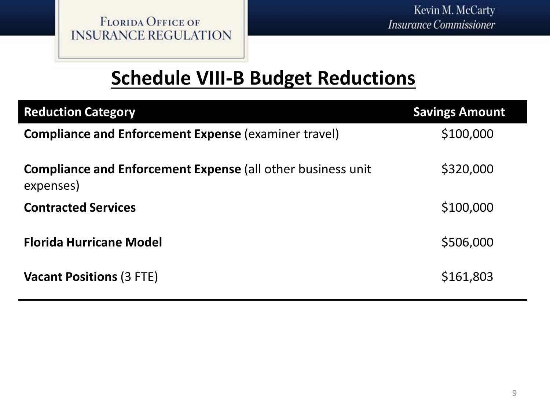### **Schedule VIII-B Budget Reductions**

| <b>Reduction Category</b>                                                       | <b>Savings Amount</b> |
|---------------------------------------------------------------------------------|-----------------------|
| <b>Compliance and Enforcement Expense (examiner travel)</b>                     | \$100,000             |
| <b>Compliance and Enforcement Expense (all other business unit</b><br>expenses) | \$320,000             |
| <b>Contracted Services</b>                                                      | \$100,000             |
| <b>Florida Hurricane Model</b>                                                  | \$506,000             |
| <b>Vacant Positions (3 FTE)</b>                                                 | \$161,803             |